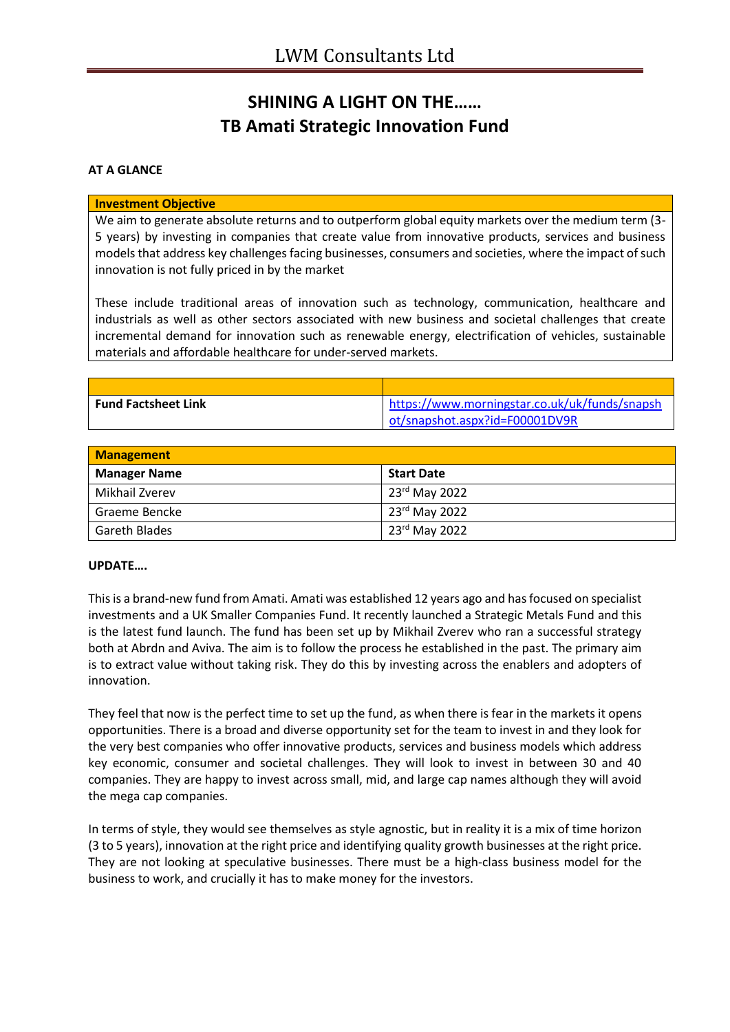## **SHINING A LIGHT ON THE…… TB Amati Strategic Innovation Fund**

## **AT A GLANCE**

## **Investment Objective**

We aim to generate absolute returns and to outperform global equity markets over the medium term (3- 5 years) by investing in companies that create value from innovative products, services and business models that address key challenges facing businesses, consumers and societies, where the impact of such innovation is not fully priced in by the market

These include traditional areas of innovation such as technology, communication, healthcare and industrials as well as other sectors associated with new business and societal challenges that create incremental demand for innovation such as renewable energy, electrification of vehicles, sustainable materials and affordable healthcare for under-served markets.

| <b>Fund Factsheet Link</b> | https://www.morningstar.co.uk/uk/funds/snapsh |
|----------------------------|-----------------------------------------------|
|                            | ot/snapshot.aspx?id=F00001DV9R                |

| <b>Management</b>    |                   |
|----------------------|-------------------|
| <b>Manager Name</b>  | <b>Start Date</b> |
| Mikhail Zverev       | $23rd$ May 2022   |
| Graeme Bencke        | 23rd May 2022     |
| <b>Gareth Blades</b> | 23rd May 2022     |

## **UPDATE….**

This is a brand-new fund from Amati. Amati was established 12 years ago and has focused on specialist investments and a UK Smaller Companies Fund. It recently launched a Strategic Metals Fund and this is the latest fund launch. The fund has been set up by Mikhail Zverev who ran a successful strategy both at Abrdn and Aviva. The aim is to follow the process he established in the past. The primary aim is to extract value without taking risk. They do this by investing across the enablers and adopters of innovation.

They feel that now is the perfect time to set up the fund, as when there is fear in the markets it opens opportunities. There is a broad and diverse opportunity set for the team to invest in and they look for the very best companies who offer innovative products, services and business models which address key economic, consumer and societal challenges. They will look to invest in between 30 and 40 companies. They are happy to invest across small, mid, and large cap names although they will avoid the mega cap companies.

In terms of style, they would see themselves as style agnostic, but in reality it is a mix of time horizon (3 to 5 years), innovation at the right price and identifying quality growth businesses at the right price. They are not looking at speculative businesses. There must be a high-class business model for the business to work, and crucially it has to make money for the investors.